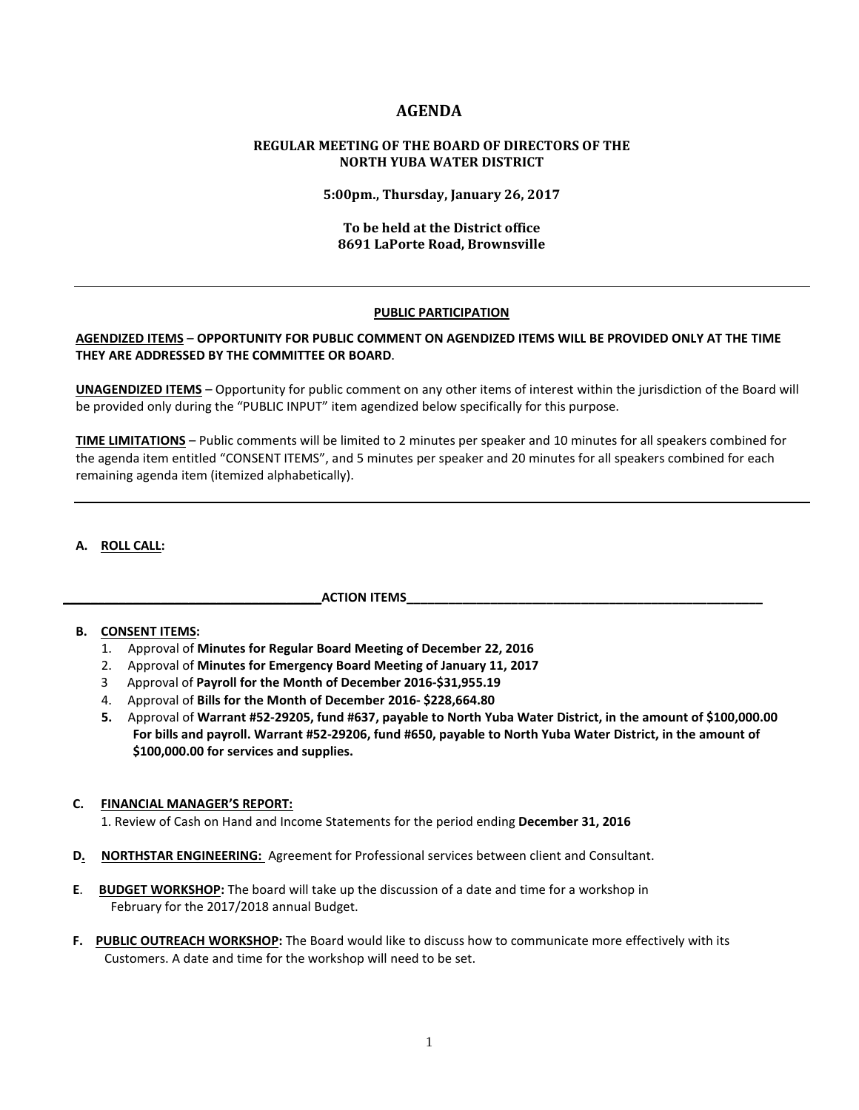# **AGENDA**

# **REGULAR MEETING OF THE BOARD OF DIRECTORS OF THE NORTH YUBA WATER DISTRICT**

**5:00pm., Thursday, January 26, 2017**

# **To be held at the District office 8691 LaPorte Road, Brownsville**

#### **PUBLIC PARTICIPATION**

### **AGENDIZED ITEMS** – **OPPORTUNITY FOR PUBLIC COMMENT ON AGENDIZED ITEMS WILL BE PROVIDED ONLY AT THE TIME THEY ARE ADDRESSED BY THE COMMITTEE OR BOARD**.

**UNAGENDIZED ITEMS** – Opportunity for public comment on any other items of interest within the jurisdiction of the Board will be provided only during the "PUBLIC INPUT" item agendized below specifically for this purpose.

**TIME LIMITATIONS** – Public comments will be limited to 2 minutes per speaker and 10 minutes for all speakers combined for the agenda item entitled "CONSENT ITEMS", and 5 minutes per speaker and 20 minutes for all speakers combined for each remaining agenda item (itemized alphabetically).

# **A. ROLL CALL:**

# **ACTION ITEMS**

# **B. CONSENT ITEMS:**

- 1. Approval of **Minutes for Regular Board Meeting of December 22, 2016**
- 2. Approval of **Minutes for Emergency Board Meeting of January 11, 2017**
- 3 Approval of **Payroll for the Month of December 2016-\$31,955.19**
- 4. Approval of **Bills for the Month of December 2016- \$228,664.80**
- **5.** Approval of **Warrant #52-29205, fund #637, payable to North Yuba Water District, in the amount of \$100,000.00 For bills and payroll. Warrant #52-29206, fund #650, payable to North Yuba Water District, in the amount of \$100,000.00 for services and supplies.**

#### **C. FINANCIAL MANAGER'S REPORT:**

1. Review of Cash on Hand and Income Statements for the period ending **December 31, 2016**

- **D. NORTHSTAR ENGINEERING:** Agreement for Professional services between client and Consultant.
- **E**. **BUDGET WORKSHOP:** The board will take up the discussion of a date and time for a workshop in February for the 2017/2018 annual Budget.
- **F. PUBLIC OUTREACH WORKSHOP:** The Board would like to discuss how to communicate more effectively with its Customers. A date and time for the workshop will need to be set.